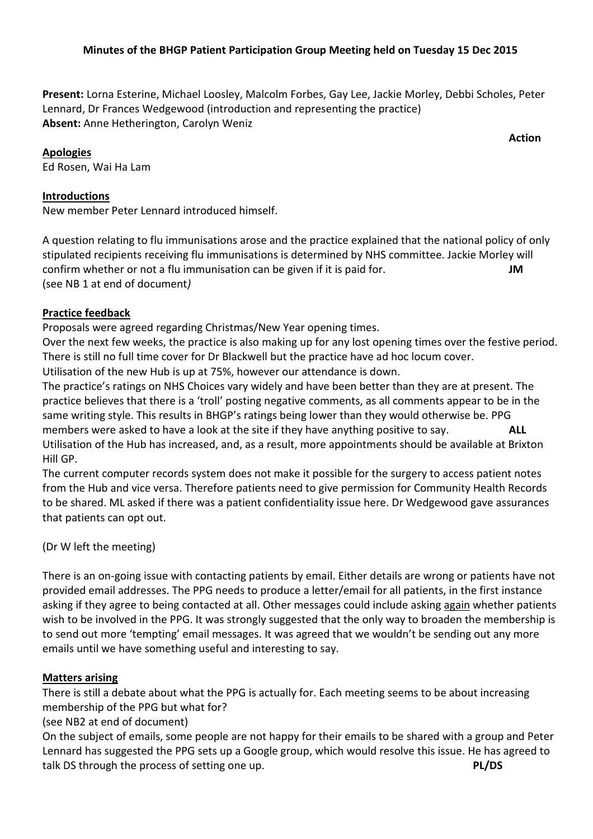## **Minutes of the BHGP Patient Participation Group Meeting held on Tuesday 15 Dec 2015**

**Present:** Lorna Esterine, Michael Loosley, Malcolm Forbes, Gay Lee, Jackie Morley, Debbi Scholes, Peter Lennard, Dr Frances Wedgewood (introduction and representing the practice) **Absent:** Anne Hetherington, Carolyn Weniz

#### **Apologies**

Ed Rosen, Wai Ha Lam

## **Introductions**

New member Peter Lennard introduced himself.

A question relating to flu immunisations arose and the practice explained that the national policy of only stipulated recipients receiving flu immunisations is determined by NHS committee. Jackie Morley will confirm whether or not a flu immunisation can be given if it is paid for. **JM** (see NB 1 at end of document*)* 

## **Practice feedback**

Proposals were agreed regarding Christmas/New Year opening times.

Over the next few weeks, the practice is also making up for any lost opening times over the festive period. There is still no full time cover for Dr Blackwell but the practice have ad hoc locum cover.

Utilisation of the new Hub is up at 75%, however our attendance is down.

The practice's ratings on NHS Choices vary widely and have been better than they are at present. The practice believes that there is a 'troll' posting negative comments, as all comments appear to be in the same writing style. This results in BHGP's ratings being lower than they would otherwise be. PPG members were asked to have a look at the site if they have anything positive to say. **ALL** Utilisation of the Hub has increased, and, as a result, more appointments should be available at Brixton Hill GP.

The current computer records system does not make it possible for the surgery to access patient notes from the Hub and vice versa. Therefore patients need to give permission for Community Health Records to be shared. ML asked if there was a patient confidentiality issue here. Dr Wedgewood gave assurances that patients can opt out.

(Dr W left the meeting)

There is an on-going issue with contacting patients by email. Either details are wrong or patients have not provided email addresses. The PPG needs to produce a letter/email for all patients, in the first instance asking if they agree to being contacted at all. Other messages could include asking again whether patients wish to be involved in the PPG. It was strongly suggested that the only way to broaden the membership is to send out more 'tempting' email messages. It was agreed that we wouldn't be sending out any more emails until we have something useful and interesting to say.

#### **Matters arising**

There is still a debate about what the PPG is actually for. Each meeting seems to be about increasing membership of the PPG but what for?

(see NB2 at end of document)

On the subject of emails, some people are not happy for their emails to be shared with a group and Peter Lennard has suggested the PPG sets up a Google group, which would resolve this issue. He has agreed to talk DS through the process of setting one up. **PL/DS**

*<u>Action</u>*